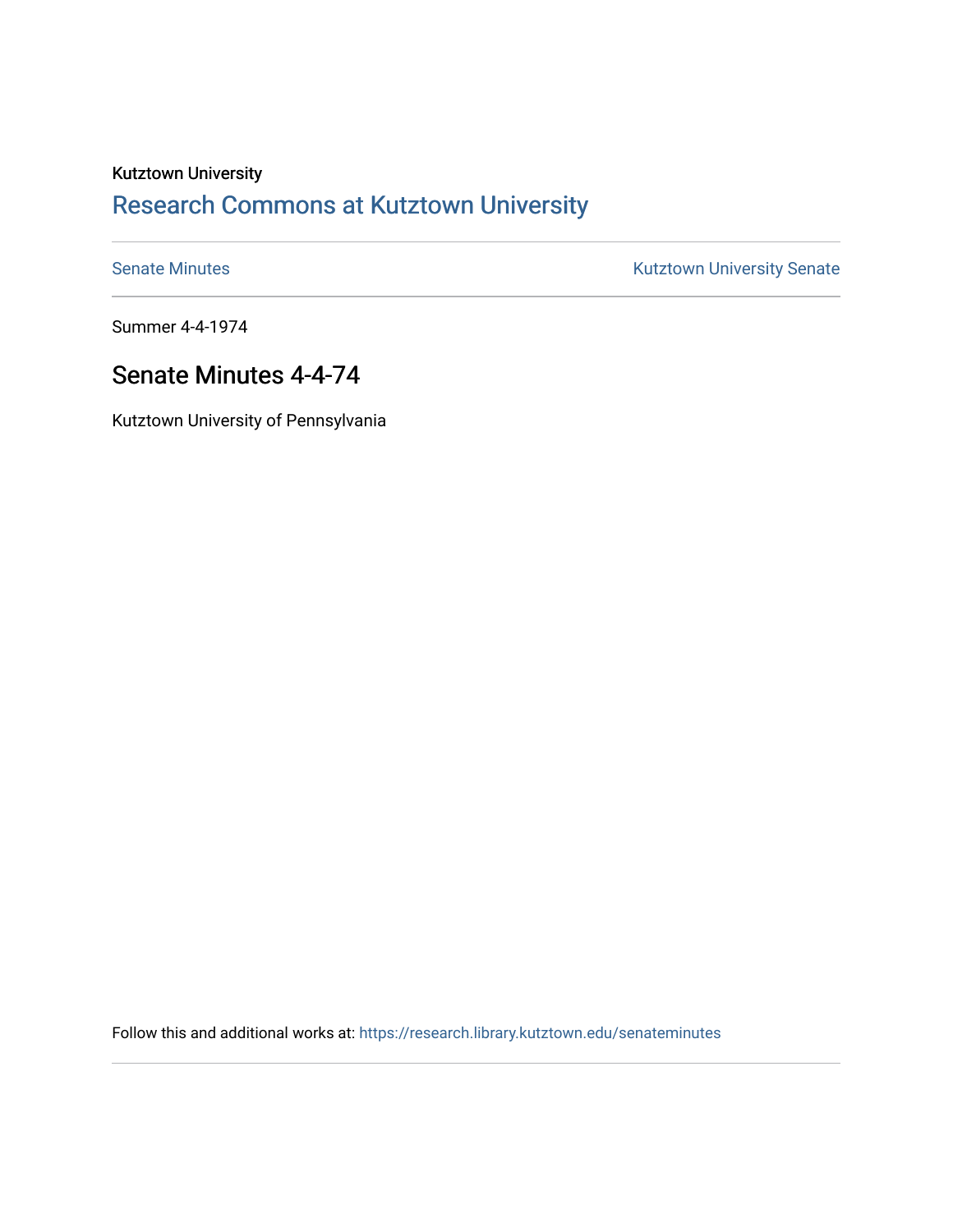# Kutztown University [Research Commons at Kutztown University](https://research.library.kutztown.edu/)

[Senate Minutes](https://research.library.kutztown.edu/senateminutes) **Kutztown University Senate** 

Summer 4-4-1974

## Senate Minutes 4-4-74

Kutztown University of Pennsylvania

Follow this and additional works at: [https://research.library.kutztown.edu/senateminutes](https://research.library.kutztown.edu/senateminutes?utm_source=research.library.kutztown.edu%2Fsenateminutes%2F125&utm_medium=PDF&utm_campaign=PDFCoverPages)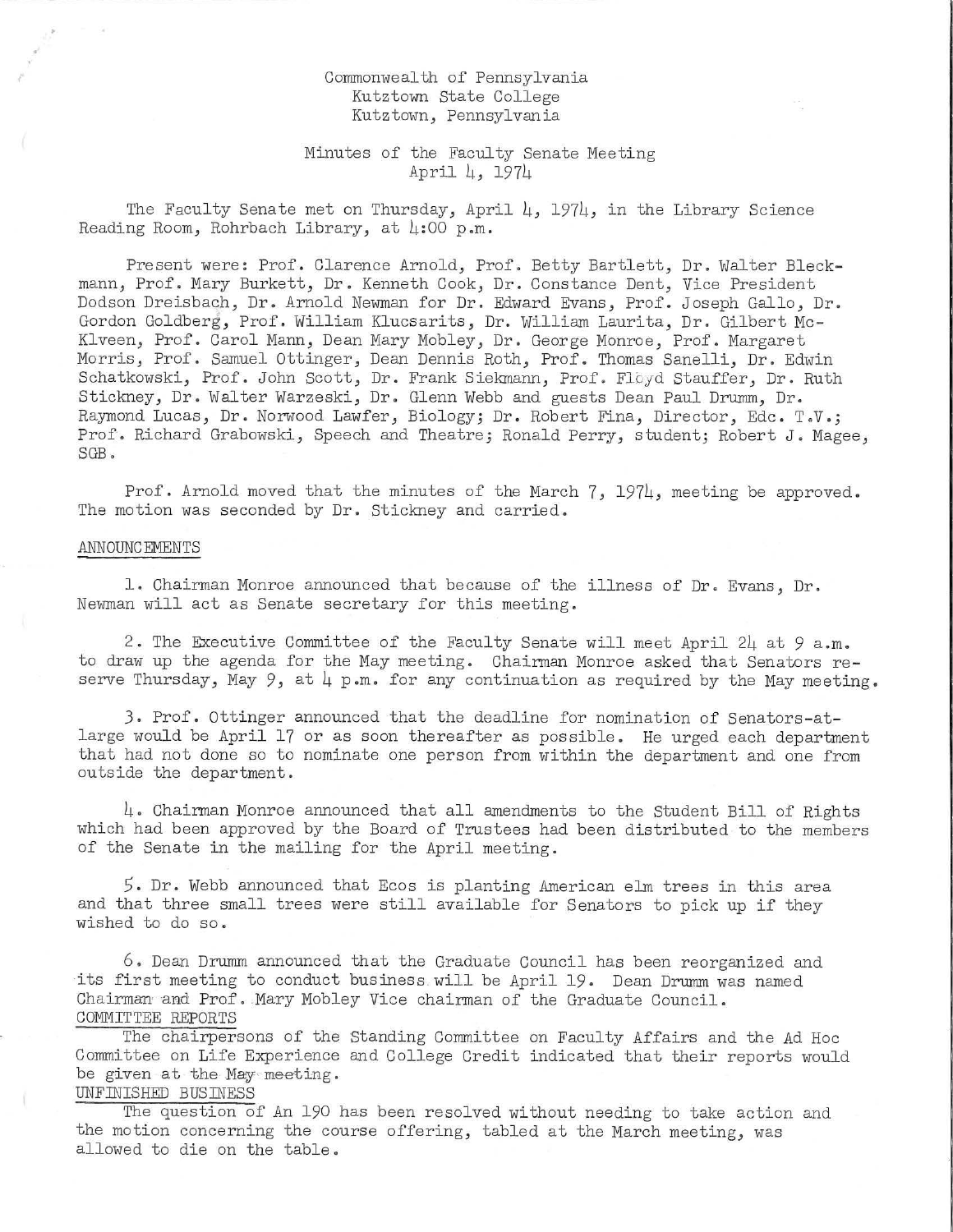### Commonwealth of Pennsylvania Kutztown State College Kutztown, Pennsylvania

## Minutes of the Faculty Senate Meeting April 4, 1974

The Faculty Senate met on Thursday, April 4, 1974, in the Library Science Reading Room, Rohrbach Library, at  $\mu:$  00 p.m.

Present were: Prof. Clarence Arnold, Prof. Betty Bartlett, Dr. Walter Bleckmann, Prof. Mary Burkett, Dr. Kenneth Cook, Dr. Constance Dent, Vice President Dodson Dreisbach, Dr. Arnold Newman for Dr. Edward Evans, Prof. Joseph Gallo, Dr. Gordon Goldberg, Prof. William Klucsarits, Dr. William Laurita, Dr. Gilbert Mc-Klveen, Prof. Carol Mann, Dean Mary Mobley, Dr. George Monroe, Prof. Margaret Morris, Prof. Samuel Ottinger, Dean Dennis Roth, Prof. Thomas Sanelli, Dr. Edwin Schatkowski, Prof. John Scott, Dr. Frank Siekmann, Prof. Floyd Stauffer, Dr. Ruth Stickney, Dr. Walter Warzeski, Dr. Glenn Webb and guests Dean Paul Drumm, Dr. Raymond Lucas, Dr. Norwood Lawfer, Biology; Dr. Robert Fina, Director, Ede. T.V.; Prof. Richard Grabowski, Speech and Theatre; Ronald Perry, student; Robert J. Magee, SGB .

Prof. Arnold moved that the minutes of the March 7, 1974, meeting be approved. The motion was seconded by Dr. Stickney and carried.

#### ANNOUNCEMENTS

1. Chairman Monroe announced that because of the illness of Dr. Evans, Dr. Newman will act as Senate secretary for this meeting.

2. The Executive Committee of the Faculty Senate will meet April 24 at 9 a.m. to draw up the agenda for the May meeting. Chairman Monroe asked that Senators reserve Thursday, May 9, at  $\downarrow$  p.m. for any continuation as required by the May meeting.

*3.* Prof. Ottinger announced that the deadline for nomination of Senators-atlarge would be April 17 or as soon thereafter as possible. He urged each department that had not done so to nominate one person from within the department and one from outside the department.

 $\mu$ . Chairman Monroe announced that all amendments to the Student Bill of Rights which had been approved by the Board of Trustees had been distributed to the members of the Senate in the mailing for the April meeting.

5. Dr. Webb announced that Ecos is planting American elm trees in this area and that three small trees were still available for Senators to pick up if they wished to do so.

6. Dean Drumm announced that the Graduate Council has been reorganized and its first meeting to conduct business will be April 19. Dean Drumm was named Chairman and Prof. Mary Mobley Vice chairman of the Graduate Council. COMMITTEE REPORTS

The chairpersons of the Standing Committee on Faculty Affairs and the Ad Hoc Committee on Life Experience and College Credit indicated that their reports would be given at the May meeting.

## UNFINISHED BUSINESS

The question of An 190 has been resolved without needing to take action and the motion concerning the course offering, tabled at the March meeting, was allowed to die on the table.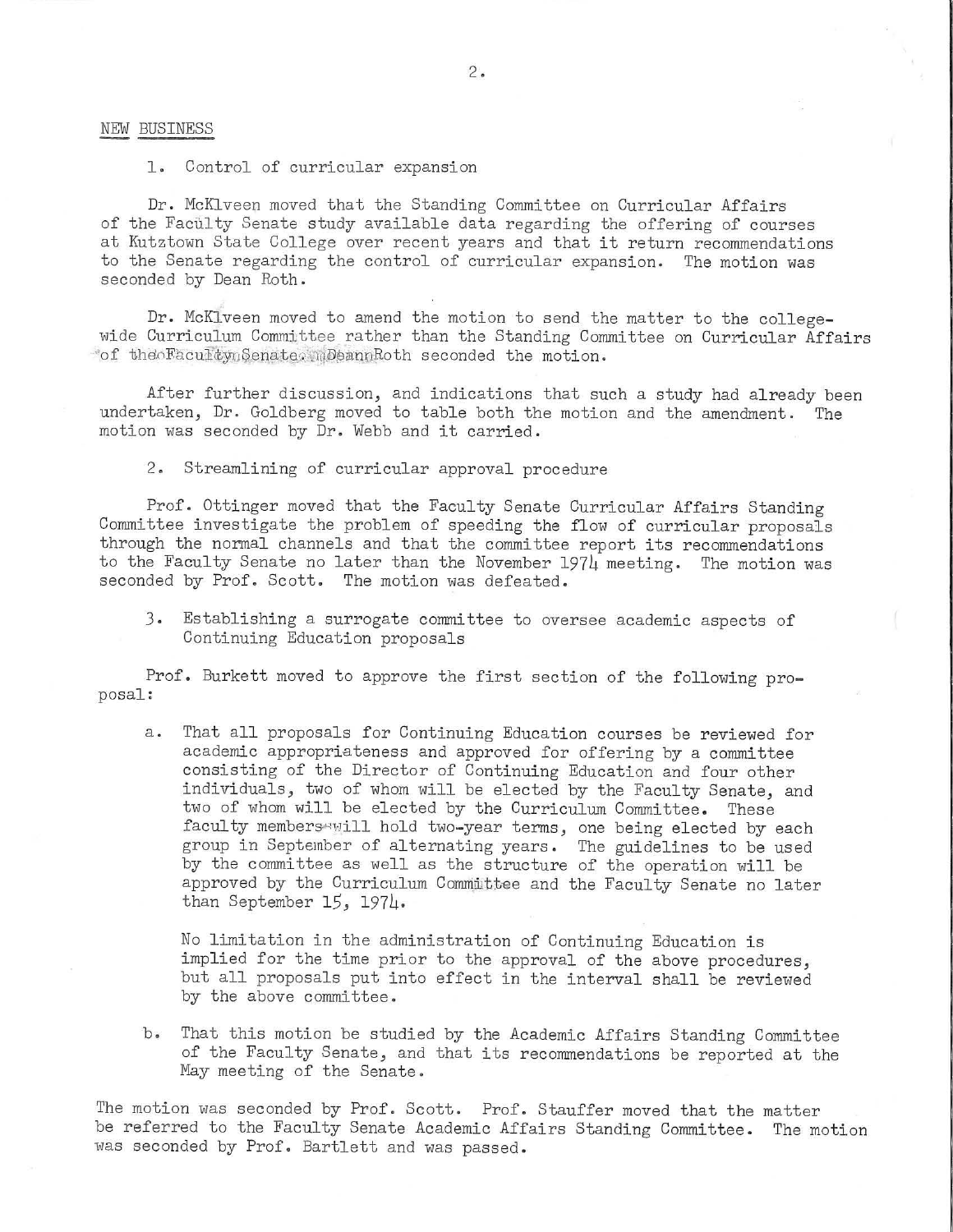#### NEW BUSINESS

1. Control of curricular expansion

Dr. McKlveen moved that the Standing Committee on Curricular Affairs of the Faculty Senate study available data regarding the offering of courses at Kutztown State College over recent years and that it return recommendations to the Senate regarding the control of curricular expansion. The motion was seconded by Dean Roth.

Dr. McKlveen moved to amend the motion to send the matter to the collegewide Curriculum Committee rather than the Standing Committee on Curricular Affairs \*of the FacultynSenate. mDeannRoth seconded the motion.

After further discussion, and indications that such a study had already been undertaken, Dr. Goldberg moved to table both the motion and the amendment. The motion was sec onded by Dr. Webb and it carried.

2. Streamlining of curricular approval procedure

Prof. Ottinger moved that the Faculty Senate Curricular Affairs Standing Committee investigate the problem of speeding the flow of curricular proposals through the normal channels and that the committee report its recommendations to the Faculty Senate no later than the November 1974 meeting. The motion was seconded by Prof. Scott. The motion was defeated.

*3.* Establishing a surrogate committee to oversee academic aspects of Continuing Education proposals

Prof. Burkett moved to approve the first section of the following pro-<br>posal:

a. That all proposals for Continuing Education courses be reviewed for academic appropriateness and approved for offering by a committee consisting of the Director of Continuing Education and four other individuals, two of whom will be elected by the Faculty Senate, and two of whom will be elected by the Curriculum Committee. These faculty membersewill hold two-year terms, one being elected by each group in September of alternating years. The guidelines to be used by the committee as well as the structure of the operation will be approved by the Curriculum Committee and the Faculty Senate no later than September 15, 1974.

No limitation in the administration of Continuing Education is implied for the time prior to the approval of the above procedures, but all proposals put into effect in the interval shall be reviewed by the above committee.

b. That this motion be studied by the Academic Affairs Standing Committee of the Faculty Senate, and that its recommendations be reported at the May meeting of the Senate.

The motion was seconded by Prof. Scott. Prof. Stauffer moved that the matter be referred to the Faculty Senate Academic Affairs Standing Committee. The motion was seconded by Prof. Bartlett and was passed.